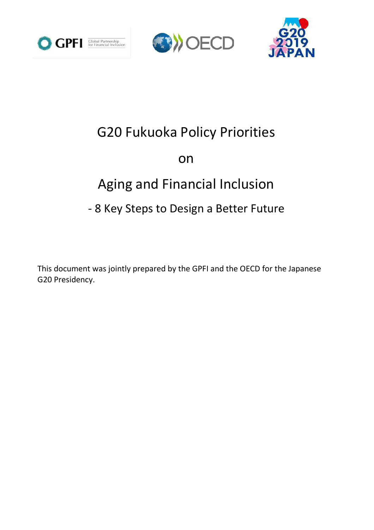





# G20 Fukuoka Policy Priorities

# on

# Aging and Financial Inclusion

## - 8 Key Steps to Design a Better Future

This document was jointly prepared by the GPFI and the OECD for the Japanese G20 Presidency.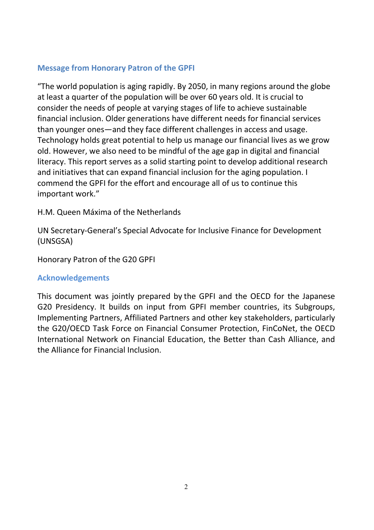### **Message from Honorary Patron of the GPFI**

"The world population is aging rapidly. By 2050, in many regions around the globe at least a quarter of the population will be over 60 years old. It is crucial to consider the needs of people at varying stages of life to achieve sustainable financial inclusion. Older generations have different needs for financial services than younger ones—and they face different challenges in access and usage. Technology holds great potential to help us manage our financial lives as we grow old. However, we also need to be mindful of the age gap in digital and financial literacy. This report serves as a solid starting point to develop additional research and initiatives that can expand financial inclusion for the aging population. I commend the GPFI for the effort and encourage all of us to continue this important work."

H.M. Queen Máxima of the Netherlands

UN Secretary-General's Special Advocate for Inclusive Finance for Development (UNSGSA)

Honorary Patron of the G20 GPFI

#### **Acknowledgements**

This document was jointly prepared by the GPFI and the OECD for the Japanese G20 Presidency. It builds on input from GPFI member countries, its Subgroups, Implementing Partners, Affiliated Partners and other key stakeholders, particularly the G20/OECD Task Force on Financial Consumer Protection, FinCoNet, the OECD International Network on Financial Education, the Better than Cash Alliance, and the Alliance for Financial Inclusion.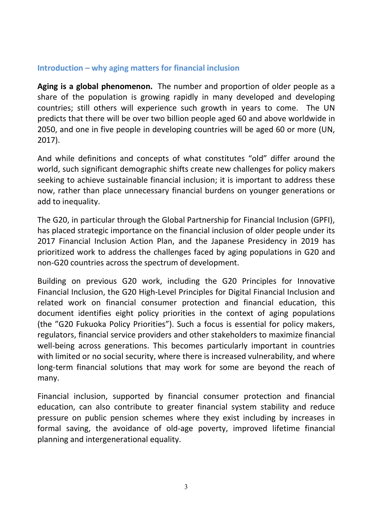#### **Introduction – why aging matters for financial inclusion**

**Aging is a global phenomenon.** The number and proportion of older people as a share of the population is growing rapidly in many developed and developing countries; still others will experience such growth in years to come. The UN predicts that there will be over two billion people aged 60 and above worldwide in 2050, and one in five people in developing countries will be aged 60 or more (UN, 2017).

And while definitions and concepts of what constitutes "old" differ around the world, such significant demographic shifts create new challenges for policy makers seeking to achieve sustainable financial inclusion; it is important to address these now, rather than place unnecessary financial burdens on younger generations or add to inequality.

The G20, in particular through the Global Partnership for Financial Inclusion (GPFI), has placed strategic importance on the financial inclusion of older people under its 2017 Financial Inclusion Action Plan, and the Japanese Presidency in 2019 has prioritized work to address the challenges faced by aging populations in G20 and non-G20 countries across the spectrum of development.

Building on previous G20 work, including the G20 Principles for Innovative Financial Inclusion, the G20 High-Level Principles for Digital Financial Inclusion and related work on financial consumer protection and financial education, this document identifies eight policy priorities in the context of aging populations (the "G20 Fukuoka Policy Priorities"). Such a focus is essential for policy makers, regulators, financial service providers and other stakeholders to maximize financial well-being across generations. This becomes particularly important in countries with limited or no social security, where there is increased vulnerability, and where long-term financial solutions that may work for some are beyond the reach of many.

Financial inclusion, supported by financial consumer protection and financial education, can also contribute to greater financial system stability and reduce pressure on public pension schemes where they exist including by increases in formal saving, the avoidance of old-age poverty, improved lifetime financial planning and intergenerational equality.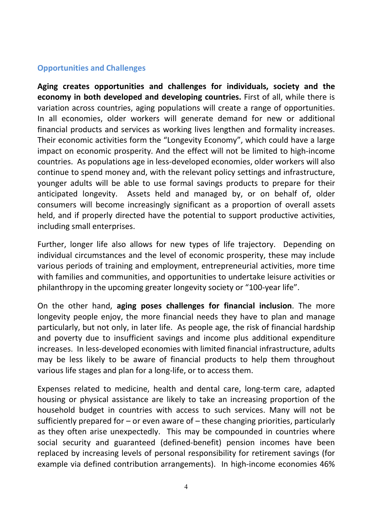#### **Opportunities and Challenges**

**Aging creates opportunities and challenges for individuals, society and the economy in both developed and developing countries.** First of all, while there is variation across countries, aging populations will create a range of opportunities. In all economies, older workers will generate demand for new or additional financial products and services as working lives lengthen and formality increases. Their economic activities form the "Longevity Economy", which could have a large impact on economic prosperity. And the effect will not be limited to high-income countries. As populations age in less-developed economies, older workers will also continue to spend money and, with the relevant policy settings and infrastructure, younger adults will be able to use formal savings products to prepare for their anticipated longevity. Assets held and managed by, or on behalf of, older consumers will become increasingly significant as a proportion of overall assets held, and if properly directed have the potential to support productive activities, including small enterprises.

Further, longer life also allows for new types of life trajectory. Depending on individual circumstances and the level of economic prosperity, these may include various periods of training and employment, entrepreneurial activities, more time with families and communities, and opportunities to undertake leisure activities or philanthropy in the upcoming greater longevity society or "100-year life".

On the other hand, **aging poses challenges for financial inclusion**. The more longevity people enjoy, the more financial needs they have to plan and manage particularly, but not only, in later life. As people age, the risk of financial hardship and poverty due to insufficient savings and income plus additional expenditure increases. In less-developed economies with limited financial infrastructure, adults may be less likely to be aware of financial products to help them throughout various life stages and plan for a long-life, or to access them.

Expenses related to medicine, health and dental care, long-term care, adapted housing or physical assistance are likely to take an increasing proportion of the household budget in countries with access to such services. Many will not be sufficiently prepared for  $-$  or even aware of  $-$  these changing priorities, particularly as they often arise unexpectedly. This may be compounded in countries where social security and guaranteed (defined-benefit) pension incomes have been replaced by increasing levels of personal responsibility for retirement savings (for example via defined contribution arrangements). In high-income economies 46%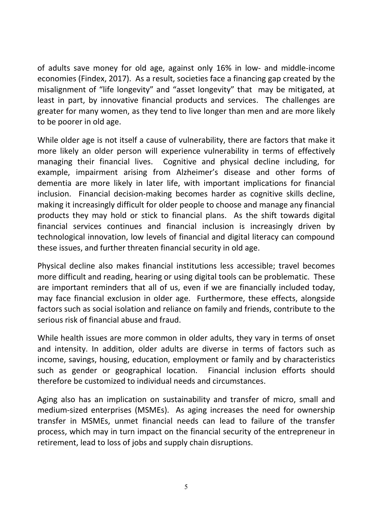of adults save money for old age, against only 16% in low- and middle-income economies (Findex, 2017). As a result, societies face a financing gap created by the misalignment of "life longevity" and "asset longevity" that may be mitigated, at least in part, by innovative financial products and services. The challenges are greater for many women, as they tend to live longer than men and are more likely to be poorer in old age.

While older age is not itself a cause of vulnerability, there are factors that make it more likely an older person will experience vulnerability in terms of effectively managing their financial lives. Cognitive and physical decline including, for example, impairment arising from Alzheimer's disease and other forms of dementia are more likely in later life, with important implications for financial inclusion. Financial decision-making becomes harder as cognitive skills decline, making it increasingly difficult for older people to choose and manage any financial products they may hold or stick to financial plans. As the shift towards digital financial services continues and financial inclusion is increasingly driven by technological innovation, low levels of financial and digital literacy can compound these issues, and further threaten financial security in old age.

Physical decline also makes financial institutions less accessible; travel becomes more difficult and reading, hearing or using digital tools can be problematic. These are important reminders that all of us, even if we are financially included today, may face financial exclusion in older age. Furthermore, these effects, alongside factors such as social isolation and reliance on family and friends, contribute to the serious risk of financial abuse and fraud.

While health issues are more common in older adults, they vary in terms of onset and intensity. In addition, older adults are diverse in terms of factors such as income, savings, housing, education, employment or family and by characteristics such as gender or geographical location. Financial inclusion efforts should therefore be customized to individual needs and circumstances.

Aging also has an implication on sustainability and transfer of micro, small and medium-sized enterprises (MSMEs). As aging increases the need for ownership transfer in MSMEs, unmet financial needs can lead to failure of the transfer process, which may in turn impact on the financial security of the entrepreneur in retirement, lead to loss of jobs and supply chain disruptions.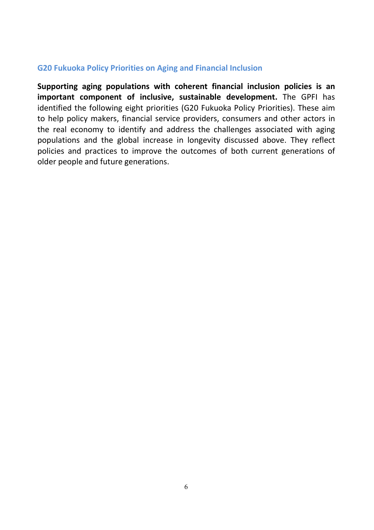#### **G20 Fukuoka Policy Priorities on Aging and Financial Inclusion**

**Supporting aging populations with coherent financial inclusion policies is an important component of inclusive, sustainable development.** The GPFI has identified the following eight priorities (G20 Fukuoka Policy Priorities). These aim to help policy makers, financial service providers, consumers and other actors in the real economy to identify and address the challenges associated with aging populations and the global increase in longevity discussed above. They reflect policies and practices to improve the outcomes of both current generations of older people and future generations.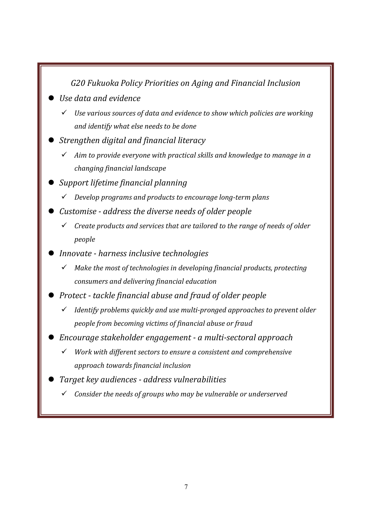## *G20Fukuoka PolicyPrioritiesonAgingandFinancialInclusion*

- *Usedataandevidence*
	- *Usevarioussourcesofdataandevidencetoshowwhichpoliciesareworking andidentifywhatelseneedstobedone*
- *Strengthen digital and financial literacy* 
	- Aim to provide everyone with practical skills and knowledge to manage in a *changing financial landscape*
- *Support lifetime financial planning* 
	- *Developprogramsandproductstoencouragelong-termplans*
- *Customise-addressthediverseneedsofolderpeople*
	- *Createproductsandservicesthataretailoredtotherangeofneedsofolder people*
- *Innovate harness inclusive technologies* 
	- $\checkmark$  Make the most of technologies in developing financial products, protecting *consumersanddeliveringfinancialeducation*
- *Protect tackle financial abuse and fraud of older people* 
	- *Identify problems quickly and use multi-pronged approaches to prevent older peoplefrombecomingvictimsoffinancialabuseorfraud*
- *Encouragestakeholderengagement-amulti-sectoralapproach*
	- *Workwithdifferentsectorstoensureaconsistentandcomprehensive approachtowardsfinancialinclusion*
- *Target key audiences address vulnerabilities* 
	- *Considertheneedsofgroupswhomaybevulnerableorunderserved*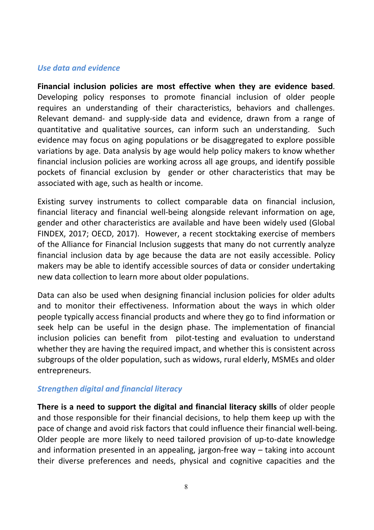#### *Use data and evidence*

**Financial inclusion policies are most effective when they are evidence based**. Developing policy responses to promote financial inclusion of older people requires an understanding of their characteristics, behaviors and challenges. Relevant demand- and supply-side data and evidence, drawn from a range of quantitative and qualitative sources, can inform such an understanding. Such evidence may focus on aging populations or be disaggregated to explore possible variations by age. Data analysis by age would help policy makers to know whether financial inclusion policies are working across all age groups, and identify possible pockets of financial exclusion by gender or other characteristics that may be associated with age, such as health or income.

Existing survey instruments to collect comparable data on financial inclusion, financial literacy and financial well-being alongside relevant information on age, gender and other characteristics are available and have been widely used (Global FINDEX, 2017; OECD, 2017). However, a recent stocktaking exercise of members of the Alliance for Financial Inclusion suggests that many do not currently analyze financial inclusion data by age because the data are not easily accessible. Policy makers may be able to identify accessible sources of data or consider undertaking new data collection to learn more about older populations.

Data can also be used when designing financial inclusion policies for older adults and to monitor their effectiveness. Information about the ways in which older people typically access financial products and where they go to find information or seek help can be useful in the design phase. The implementation of financial inclusion policies can benefit from pilot-testing and evaluation to understand whether they are having the required impact, and whether this is consistent across subgroups of the older population, such as widows, rural elderly, MSMEs and older entrepreneurs.

#### *Strengthen digital and financial literacy*

**There is a need to support the digital and financial literacy skills** of older people and those responsible for their financial decisions, to help them keep up with the pace of change and avoid risk factors that could influence their financial well-being. Older people are more likely to need tailored provision of up-to-date knowledge and information presented in an appealing, jargon-free way – taking into account their diverse preferences and needs, physical and cognitive capacities and the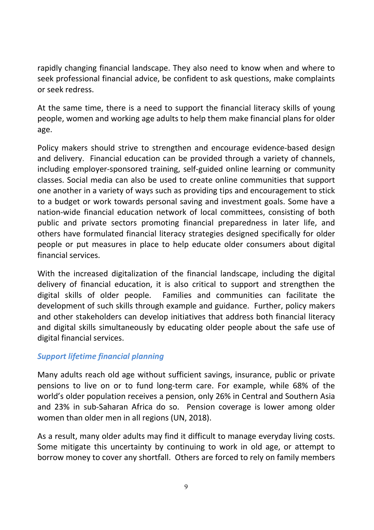rapidly changing financial landscape. They also need to know when and where to seek professional financial advice, be confident to ask questions, make complaints or seek redress.

At the same time, there is a need to support the financial literacy skills of young people, women and working age adults to help them make financial plans for older age.

Policy makers should strive to strengthen and encourage evidence-based design and delivery. Financial education can be provided through a variety of channels, including employer-sponsored training, self-guided online learning or community classes. Social media can also be used to create online communities that support one another in a variety of ways such as providing tips and encouragement to stick to a budget or work towards personal saving and investment goals. Some have a nation-wide financial education network of local committees, consisting of both public and private sectors promoting financial preparedness in later life, and others have formulated financial literacy strategies designed specifically for older people or put measures in place to help educate older consumers about digital financial services.

With the increased digitalization of the financial landscape, including the digital delivery of financial education, it is also critical to support and strengthen the digital skills of older people. Families and communities can facilitate the development of such skills through example and guidance. Further, policy makers and other stakeholders can develop initiatives that address both financial literacy and digital skills simultaneously by educating older people about the safe use of digital financial services.

#### *Support lifetime financial planning*

Many adults reach old age without sufficient savings, insurance, public or private pensions to live on or to fund long-term care. For example, while 68% of the world's older population receives a pension, only 26% in Central and Southern Asia and 23% in sub-Saharan Africa do so. Pension coverage is lower among older women than older men in all regions (UN, 2018).

As a result, many older adults may find it difficult to manage everyday living costs. Some mitigate this uncertainty by continuing to work in old age, or attempt to borrow money to cover any shortfall. Others are forced to rely on family members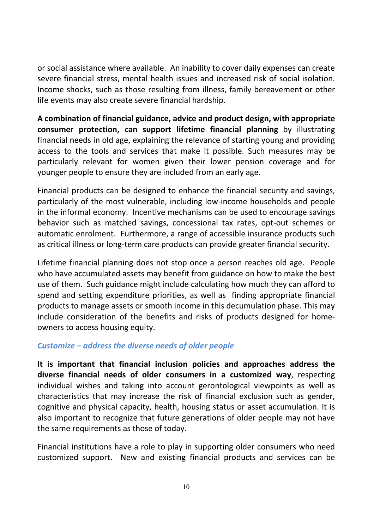or social assistance where available. An inability to cover daily expenses can create severe financial stress, mental health issues and increased risk of social isolation. Income shocks, such as those resulting from illness, family bereavement or other life events may also create severe financial hardship.

**A combination of financial guidance, advice and product design, with appropriate consumer protection, can support lifetime financial planning** by illustrating financial needs in old age, explaining the relevance of starting young and providing access to the tools and services that make it possible. Such measures may be particularly relevant for women given their lower pension coverage and for younger people to ensure they are included from an early age.

Financial products can be designed to enhance the financial security and savings, particularly of the most vulnerable, including low-income households and people in the informal economy. Incentive mechanisms can be used to encourage savings behavior such as matched savings, concessional tax rates, opt-out schemes or automatic enrolment. Furthermore, a range of accessible insurance products such as critical illness or long-term care products can provide greater financial security.

Lifetime financial planning does not stop once a person reaches old age. People who have accumulated assets may benefit from guidance on how to make the best use of them. Such guidance might include calculating how much they can afford to spend and setting expenditure priorities, as well as finding appropriate financial products to manage assets or smooth income in this decumulation phase. This may include consideration of the benefits and risks of products designed for homeowners to access housing equity.

#### *Customize – address the diverse needs of older people*

**It is important that financial inclusion policies and approaches address the diverse financial needs of older consumers in a customized way**, respecting individual wishes and taking into account gerontological viewpoints as well as characteristics that may increase the risk of financial exclusion such as gender, cognitive and physical capacity, health, housing status or asset accumulation. It is also important to recognize that future generations of older people may not have the same requirements as those of today.

Financial institutions have a role to play in supporting older consumers who need customized support. New and existing financial products and services can be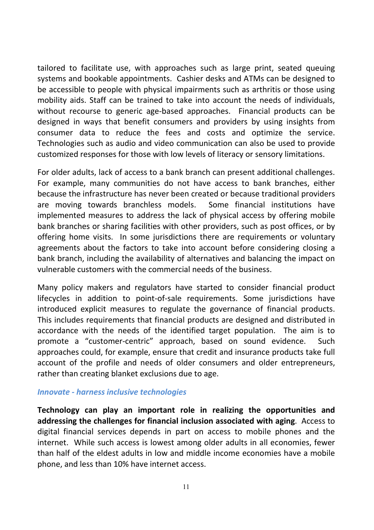tailored to facilitate use, with approaches such as large print, seated queuing systems and bookable appointments. Cashier desks and ATMs can be designed to be accessible to people with physical impairments such as arthritis or those using mobility aids. Staff can be trained to take into account the needs of individuals, without recourse to generic age-based approaches. Financial products can be designed in ways that benefit consumers and providers by using insights from consumer data to reduce the fees and costs and optimize the service. Technologies such as audio and video communication can also be used to provide customized responses for those with low levels of literacy or sensory limitations.

For older adults, lack of access to a bank branch can present additional challenges. For example, many communities do not have access to bank branches, either because the infrastructure has never been created or because traditional providers are moving towards branchless models. Some financial institutions have implemented measures to address the lack of physical access by offering mobile bank branches or sharing facilities with other providers, such as post offices, or by offering home visits. In some jurisdictions there are requirements or voluntary agreements about the factors to take into account before considering closing a bank branch, including the availability of alternatives and balancing the impact on vulnerable customers with the commercial needs of the business.

Many policy makers and regulators have started to consider financial product lifecycles in addition to point-of-sale requirements. Some jurisdictions have introduced explicit measures to regulate the governance of financial products. This includes requirements that financial products are designed and distributed in accordance with the needs of the identified target population. The aim is to promote a "customer-centric" approach, based on sound evidence. Such approaches could, for example, ensure that credit and insurance products take full account of the profile and needs of older consumers and older entrepreneurs, rather than creating blanket exclusions due to age.

#### *Innovate - harness inclusive technologies*

**Technology can play an important role in realizing the opportunities and addressing the challenges for financial inclusion associated with aging**. Access to digital financial services depends in part on access to mobile phones and the internet. While such access is lowest among older adults in all economies, fewer than half of the eldest adults in low and middle income economies have a mobile phone, and less than 10% have internet access.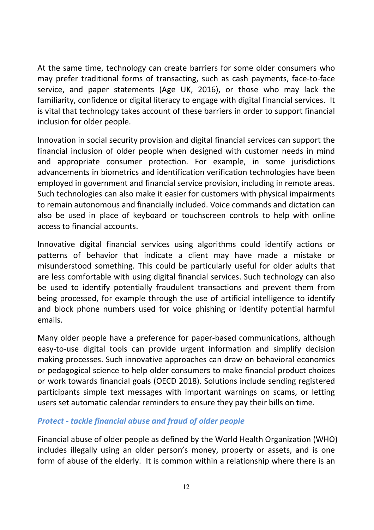At the same time, technology can create barriers for some older consumers who may prefer traditional forms of transacting, such as cash payments, face-to-face service, and paper statements (Age UK, 2016), or those who may lack the familiarity, confidence or digital literacy to engage with digital financial services. It is vital that technology takes account of these barriers in order to support financial inclusion for older people.

Innovation in social security provision and digital financial services can support the financial inclusion of older people when designed with customer needs in mind and appropriate consumer protection. For example, in some jurisdictions advancements in biometrics and identification verification technologies have been employed in government and financial service provision, including in remote areas. Such technologies can also make it easier for customers with physical impairments to remain autonomous and financially included. Voice commands and dictation can also be used in place of keyboard or touchscreen controls to help with online access to financial accounts.

Innovative digital financial services using algorithms could identify actions or patterns of behavior that indicate a client may have made a mistake or misunderstood something. This could be particularly useful for older adults that are less comfortable with using digital financial services. Such technology can also be used to identify potentially fraudulent transactions and prevent them from being processed, for example through the use of artificial intelligence to identify and block phone numbers used for voice phishing or identify potential harmful emails.

Many older people have a preference for paper-based communications, although easy-to-use digital tools can provide urgent information and simplify decision making processes. Such innovative approaches can draw on behavioral economics or pedagogical science to help older consumers to make financial product choices or work towards financial goals (OECD 2018). Solutions include sending registered participants simple text messages with important warnings on scams, or letting users set automatic calendar reminders to ensure they pay their bills on time.

#### *Protect - tackle financial abuse and fraud of older people*

Financial abuse of older people as defined by the World Health Organization (WHO) includes illegally using an older person's money, property or assets, and is one form of abuse of the elderly. It is common within a relationship where there is an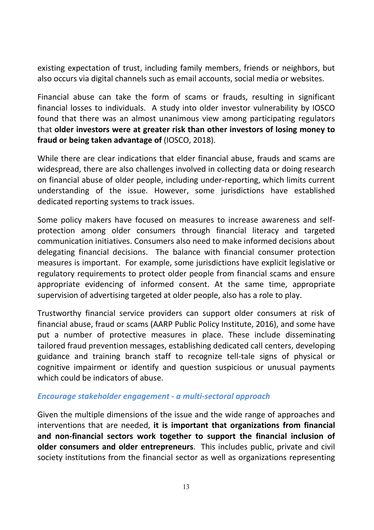existing expectation of trust, including family members, friends or neighbors, but also occurs via digital channels such as email accounts, social media or websites.

Financial abuse can take the form of scams or frauds, resulting in significant financial losses to individuals. A study into older investor vulnerability by IOSCO found that there was an almost unanimous view among participating regulators that **older investors were at greater risk than other investors of losing money to fraud or being taken advantage of** (IOSCO, 2018).

While there are clear indications that elder financial abuse, frauds and scams are widespread, there are also challenges involved in collecting data or doing research on financial abuse of older people, including under-reporting, which limits current understanding of the issue. However, some jurisdictions have established dedicated reporting systems to track issues.

Some policy makers have focused on measures to increase awareness and selfprotection among older consumers through financial literacy and targeted communication initiatives. Consumers also need to make informed decisions about delegating financial decisions. The balance with financial consumer protection measures is important. For example, some jurisdictions have explicit legislative or regulatory requirements to protect older people from financial scams and ensure appropriate evidencing of informed consent. At the same time, appropriate supervision of advertising targeted at older people, also has a role to play.

Trustworthy financial service providers can support older consumers at risk of financial abuse, fraud or scams (AARP Public Policy Institute, 2016), and some have put a number of protective measures in place. These include disseminating tailored fraud prevention messages, establishing dedicated call centers, developing guidance and training branch staff to recognize tell-tale signs of physical or cognitive impairment or identify and question suspicious or unusual payments which could be indicators of abuse.

#### *Encourage stakeholder engagement - a multi-sectoral approach*

Given the multiple dimensions of the issue and the wide range of approaches and interventions that are needed, **it is important that organizations from financial and non-financial sectors work together to support the financial inclusion of older consumers and older entrepreneurs**. This includes public, private and civil society institutions from the financial sector as well as organizations representing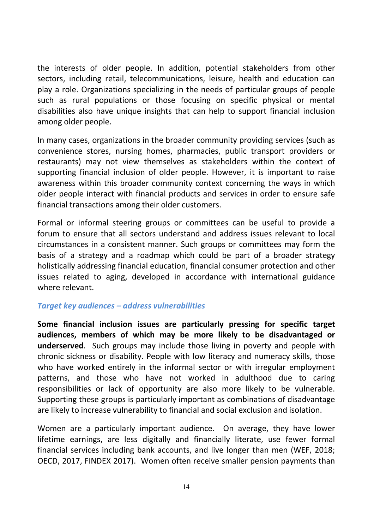the interests of older people. In addition, potential stakeholders from other sectors, including retail, telecommunications, leisure, health and education can play a role. Organizations specializing in the needs of particular groups of people such as rural populations or those focusing on specific physical or mental disabilities also have unique insights that can help to support financial inclusion among older people.

In many cases, organizations in the broader community providing services (such as convenience stores, nursing homes, pharmacies, public transport providers or restaurants) may not view themselves as stakeholders within the context of supporting financial inclusion of older people. However, it is important to raise awareness within this broader community context concerning the ways in which older people interact with financial products and services in order to ensure safe financial transactions among their older customers.

Formal or informal steering groups or committees can be useful to provide a forum to ensure that all sectors understand and address issues relevant to local circumstances in a consistent manner. Such groups or committees may form the basis of a strategy and a roadmap which could be part of a broader strategy holistically addressing financial education, financial consumer protection and other issues related to aging, developed in accordance with international guidance where relevant.

#### *Target key audiences – address vulnerabilities*

**Some financial inclusion issues are particularly pressing for specific target audiences, members of which may be more likely to be disadvantaged or underserved**. Such groups may include those living in poverty and people with chronic sickness or disability. People with low literacy and numeracy skills, those who have worked entirely in the informal sector or with irregular employment patterns, and those who have not worked in adulthood due to caring responsibilities or lack of opportunity are also more likely to be vulnerable. Supporting these groups is particularly important as combinations of disadvantage are likely to increase vulnerability to financial and social exclusion and isolation.

Women are a particularly important audience. On average, they have lower lifetime earnings, are less digitally and financially literate, use fewer formal financial services including bank accounts, and live longer than men (WEF, 2018; OECD, 2017, FINDEX 2017). Women often receive smaller pension payments than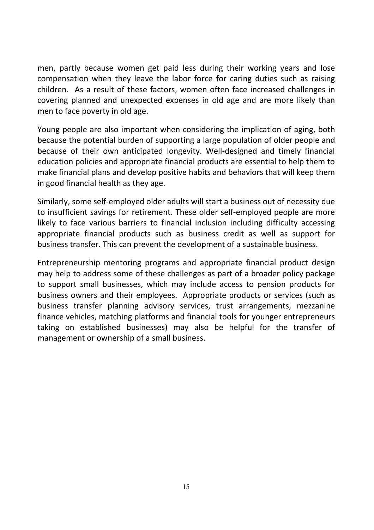men, partly because women get paid less during their working years and lose compensation when they leave the labor force for caring duties such as raising children. As a result of these factors, women often face increased challenges in covering planned and unexpected expenses in old age and are more likely than men to face poverty in old age.

Young people are also important when considering the implication of aging, both because the potential burden of supporting a large population of older people and because of their own anticipated longevity. Well-designed and timely financial education policies and appropriate financial products are essential to help them to make financial plans and develop positive habits and behaviors that will keep them in good financial health as they age.

Similarly, some self-employed older adults will start a business out of necessity due to insufficient savings for retirement. These older self-employed people are more likely to face various barriers to financial inclusion including difficulty accessing appropriate financial products such as business credit as well as support for business transfer. This can prevent the development of a sustainable business.

Entrepreneurship mentoring programs and appropriate financial product design may help to address some of these challenges as part of a broader policy package to support small businesses, which may include access to pension products for business owners and their employees. Appropriate products or services (such as business transfer planning advisory services, trust arrangements, mezzanine finance vehicles, matching platforms and financial tools for younger entrepreneurs taking on established businesses) may also be helpful for the transfer of management or ownership of a small business.